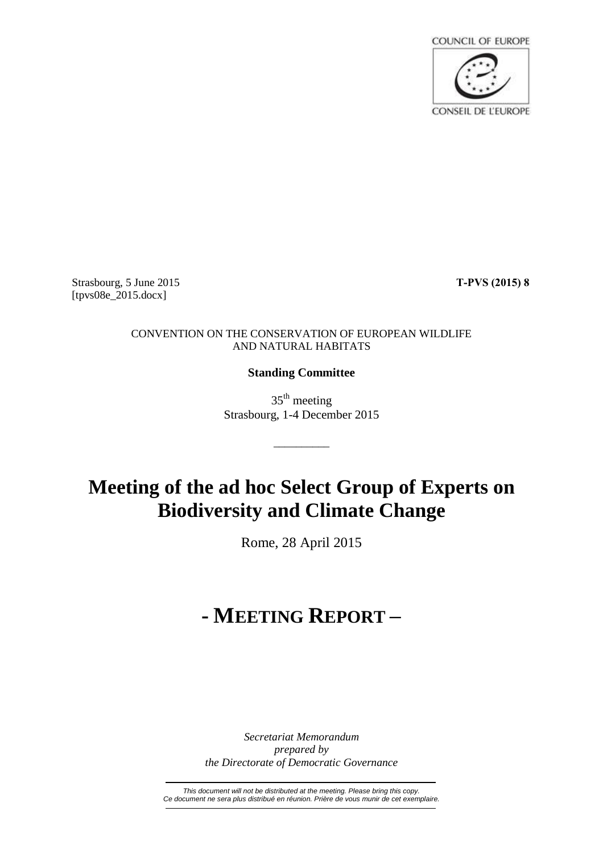

Strasbourg, 5 June 2015 **T-PVS (2015) 8** [tpvs08e\_2015.docx]

## CONVENTION ON THE CONSERVATION OF EUROPEAN WILDLIFE AND NATURAL HABITATS

## **Standing Committee**

35<sup>th</sup> meeting Strasbourg, 1-4 December 2015

\_\_\_\_\_\_\_\_\_\_

# **Meeting of the ad hoc Select Group of Experts on Biodiversity and Climate Change**

Rome, 28 April 2015

# **- MEETING REPORT –**

*Secretariat Memorandum prepared by the Directorate of Democratic Governance*

*This document will not be distributed at the meeting. Please bring this copy. Ce document ne sera plus distribué en réunion. Prière de vous munir de cet exemplaire.*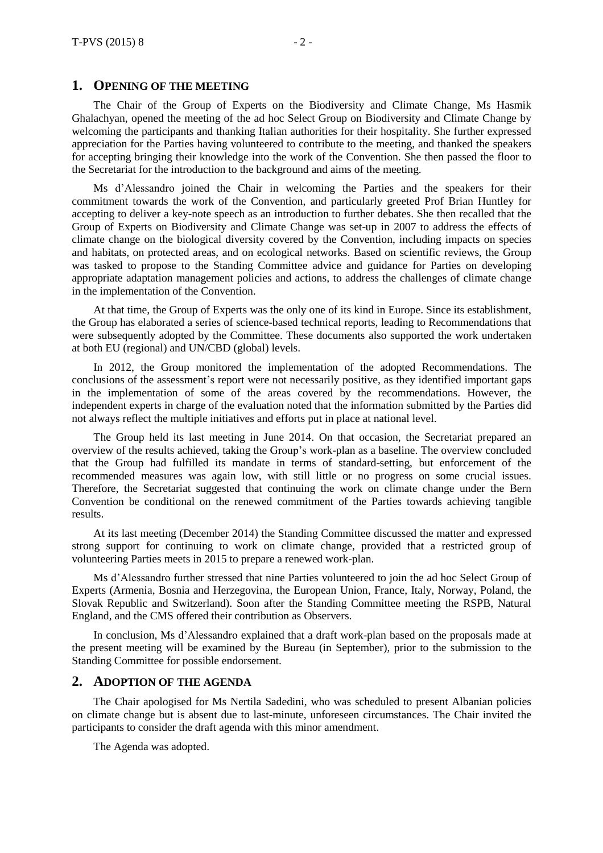## **1. OPENING OF THE MEETING**

The Chair of the Group of Experts on the Biodiversity and Climate Change, Ms Hasmik Ghalachyan, opened the meeting of the ad hoc Select Group on Biodiversity and Climate Change by welcoming the participants and thanking Italian authorities for their hospitality. She further expressed appreciation for the Parties having volunteered to contribute to the meeting, and thanked the speakers for accepting bringing their knowledge into the work of the Convention. She then passed the floor to the Secretariat for the introduction to the background and aims of the meeting.

Ms d'Alessandro joined the Chair in welcoming the Parties and the speakers for their commitment towards the work of the Convention, and particularly greeted Prof Brian Huntley for accepting to deliver a key-note speech as an introduction to further debates. She then recalled that the Group of Experts on Biodiversity and Climate Change was set-up in 2007 to address the effects of climate change on the biological diversity covered by the Convention, including impacts on species and habitats, on protected areas, and on ecological networks. Based on scientific reviews, the Group was tasked to propose to the Standing Committee advice and guidance for Parties on developing appropriate adaptation management policies and actions, to address the challenges of climate change in the implementation of the Convention.

At that time, the Group of Experts was the only one of its kind in Europe. Since its establishment, the Group has elaborated a series of science-based technical reports, leading to Recommendations that were subsequently adopted by the Committee. These documents also supported the work undertaken at both EU (regional) and UN/CBD (global) levels.

In 2012, the Group monitored the implementation of the adopted Recommendations. The conclusions of the assessment's report were not necessarily positive, as they identified important gaps in the implementation of some of the areas covered by the recommendations. However, the independent experts in charge of the evaluation noted that the information submitted by the Parties did not always reflect the multiple initiatives and efforts put in place at national level.

The Group held its last meeting in June 2014. On that occasion, the Secretariat prepared an overview of the results achieved, taking the Group's work-plan as a baseline. The overview concluded that the Group had fulfilled its mandate in terms of standard-setting, but enforcement of the recommended measures was again low, with still little or no progress on some crucial issues. Therefore, the Secretariat suggested that continuing the work on climate change under the Bern Convention be conditional on the renewed commitment of the Parties towards achieving tangible results.

At its last meeting (December 2014) the Standing Committee discussed the matter and expressed strong support for continuing to work on climate change, provided that a restricted group of volunteering Parties meets in 2015 to prepare a renewed work-plan.

Ms d'Alessandro further stressed that nine Parties volunteered to join the ad hoc Select Group of Experts (Armenia, Bosnia and Herzegovina, the European Union, France, Italy, Norway, Poland, the Slovak Republic and Switzerland). Soon after the Standing Committee meeting the RSPB, Natural England, and the CMS offered their contribution as Observers.

In conclusion, Ms d'Alessandro explained that a draft work-plan based on the proposals made at the present meeting will be examined by the Bureau (in September), prior to the submission to the Standing Committee for possible endorsement.

#### **2. ADOPTION OF THE AGENDA**

The Chair apologised for Ms Nertila Sadedini, who was scheduled to present Albanian policies on climate change but is absent due to last-minute, unforeseen circumstances. The Chair invited the participants to consider the draft agenda with this minor amendment.

The Agenda was adopted.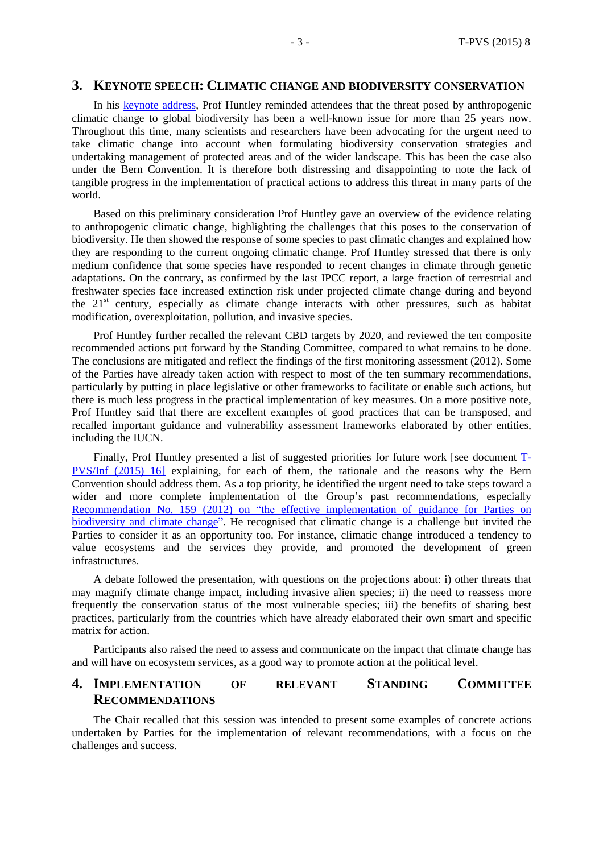## **3. KEYNOTE SPEECH: CLIMATIC CHANGE AND BIODIVERSITY CONSERVATION**

In his keynote [address,](http://www.coe.int/t/dg4/cultureheritage/nature/Bern/ClimateChange/Documents/042015/Brian_Huntley_Climatic_change_and_biodiversity_conservation.pdf) Prof Huntley reminded attendees that the threat posed by anthropogenic climatic change to global biodiversity has been a well-known issue for more than 25 years now. Throughout this time, many scientists and researchers have been advocating for the urgent need to take climatic change into account when formulating biodiversity conservation strategies and undertaking management of protected areas and of the wider landscape. This has been the case also under the Bern Convention. It is therefore both distressing and disappointing to note the lack of tangible progress in the implementation of practical actions to address this threat in many parts of the world.

Based on this preliminary consideration Prof Huntley gave an overview of the evidence relating to anthropogenic climatic change, highlighting the challenges that this poses to the conservation of biodiversity. He then showed the response of some species to past climatic changes and explained how they are responding to the current ongoing climatic change. Prof Huntley stressed that there is only medium confidence that some species have responded to recent changes in climate through genetic adaptations. On the contrary, as confirmed by the last IPCC report, a large fraction of terrestrial and freshwater species face increased extinction risk under projected climate change during and beyond the  $21<sup>st</sup>$  century, especially as climate change interacts with other pressures, such as habitat modification, overexploitation, pollution, and invasive species.

Prof Huntley further recalled the relevant CBD targets by 2020, and reviewed the ten composite recommended actions put forward by the Standing Committee, compared to what remains to be done. The conclusions are mitigated and reflect the findings of the first monitoring assessment (2012). Some of the Parties have already taken action with respect to most of the ten summary recommendations, particularly by putting in place legislative or other frameworks to facilitate or enable such actions, but there is much less progress in the practical implementation of key measures. On a more positive note, Prof Huntley said that there are excellent examples of good practices that can be transposed, and recalled important guidance and vulnerability assessment frameworks elaborated by other entities, including the IUCN.

Finally, Prof Huntley presented a list of suggested priorities for future work [see document [T-](https://wcd.coe.int/ViewDoc.jsp?id=2322997&Site=&BackColorInternet=B9BDEE&BackColorIntranet=FFCD4F&BackColorLogged=FFC679)[PVS/Inf](https://wcd.coe.int/ViewDoc.jsp?id=2322997&Site=&BackColorInternet=B9BDEE&BackColorIntranet=FFCD4F&BackColorLogged=FFC679) (2015) 16] explaining, for each of them, the rationale and the reasons why the Bern Convention should address them. As a top priority, he identified the urgent need to take steps toward a wider and more complete implementation of the Group's past recommendations, especially [Recommendation](https://wcd.coe.int/ViewDoc.jsp?id=2010677&Site=&BackColorInternet=B9BDEE&BackColorIntranet=FFCD4F&BackColorLogged=FFC679) No. 159 (2012) on "the effective implementation of guidance for Parties on [biodiversity](https://wcd.coe.int/ViewDoc.jsp?id=2010677&Site=&BackColorInternet=B9BDEE&BackColorIntranet=FFCD4F&BackColorLogged=FFC679) and climate change". He recognised that climatic change is a challenge but invited the Parties to consider it as an opportunity too. For instance, climatic change introduced a tendency to value ecosystems and the services they provide, and promoted the development of green infrastructures.

A debate followed the presentation, with questions on the projections about: i) other threats that may magnify climate change impact, including invasive alien species; ii) the need to reassess more frequently the conservation status of the most vulnerable species; iii) the benefits of sharing best practices, particularly from the countries which have already elaborated their own smart and specific matrix for action.

Participants also raised the need to assess and communicate on the impact that climate change has and will have on ecosystem services, as a good way to promote action at the political level.

## **4. IMPLEMENTATION OF RELEVANT STANDING COMMITTEE RECOMMENDATIONS**

The Chair recalled that this session was intended to present some examples of concrete actions undertaken by Parties for the implementation of relevant recommendations, with a focus on the challenges and success.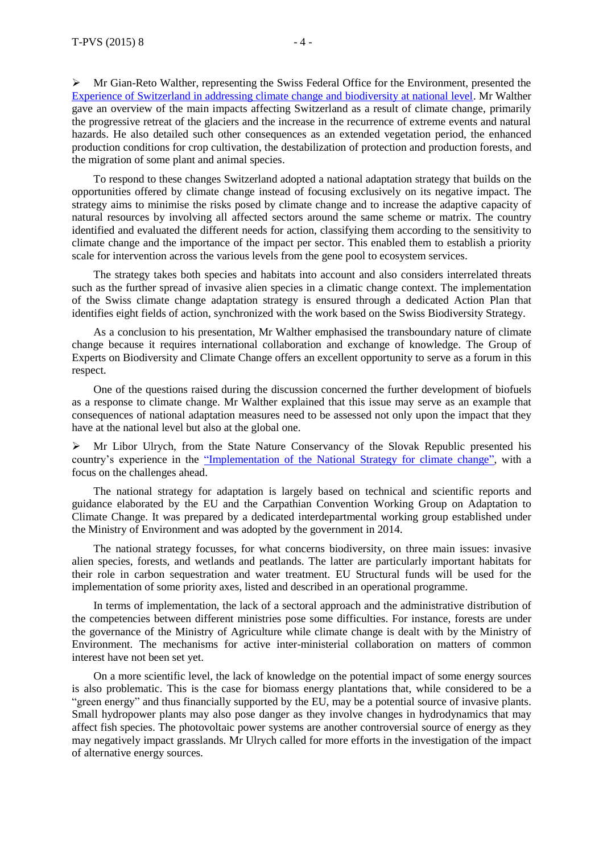Mr Gian-Reto Walther, representing the Swiss Federal Office for the Environment, presented the [Experience of Switzerland in addressing climate change and biodiversity at national level.](http://www.coe.int/t/dg4/cultureheritage/nature/Bern/ClimateChange/Documents/042015/Walther-GoE_CC_2015.pdf) Mr Walther gave an overview of the main impacts affecting Switzerland as a result of climate change, primarily the progressive retreat of the glaciers and the increase in the recurrence of extreme events and natural hazards. He also detailed such other consequences as an extended vegetation period, the enhanced production conditions for crop cultivation, the destabilization of protection and production forests, and the migration of some plant and animal species.

To respond to these changes Switzerland adopted a national adaptation strategy that builds on the opportunities offered by climate change instead of focusing exclusively on its negative impact. The strategy aims to minimise the risks posed by climate change and to increase the adaptive capacity of natural resources by involving all affected sectors around the same scheme or matrix. The country identified and evaluated the different needs for action, classifying them according to the sensitivity to climate change and the importance of the impact per sector. This enabled them to establish a priority scale for intervention across the various levels from the gene pool to ecosystem services.

The strategy takes both species and habitats into account and also considers interrelated threats such as the further spread of invasive alien species in a climatic change context. The implementation of the Swiss climate change adaptation strategy is ensured through a dedicated Action Plan that identifies eight fields of action, synchronized with the work based on the Swiss Biodiversity Strategy.

As a conclusion to his presentation, Mr Walther emphasised the transboundary nature of climate change because it requires international collaboration and exchange of knowledge. The Group of Experts on Biodiversity and Climate Change offers an excellent opportunity to serve as a forum in this respect.

One of the questions raised during the discussion concerned the further development of biofuels as a response to climate change. Mr Walther explained that this issue may serve as an example that consequences of national adaptation measures need to be assessed not only upon the impact that they have at the national level but also at the global one.

 $\triangleright$  Mr Libor Ulrych, from the State Nature Conservancy of the Slovak Republic presented his country's experience in the "Implementation of the [National Strategy for climate change"](http://www.coe.int/t/dg4/cultureheritage/nature/Bern/ClimateChange/Documents/042015/Slovak_Republic_Bern_Rome_20150428.pdf), with a focus on the challenges ahead.

The national strategy for adaptation is largely based on technical and scientific reports and guidance elaborated by the EU and the Carpathian Convention Working Group on Adaptation to Climate Change. It was prepared by a dedicated interdepartmental working group established under the Ministry of Environment and was adopted by the government in 2014.

The national strategy focusses, for what concerns biodiversity, on three main issues: invasive alien species, forests, and wetlands and peatlands. The latter are particularly important habitats for their role in carbon sequestration and water treatment. EU Structural funds will be used for the implementation of some priority axes, listed and described in an operational programme.

In terms of implementation, the lack of a sectoral approach and the administrative distribution of the competencies between different ministries pose some difficulties. For instance, forests are under the governance of the Ministry of Agriculture while climate change is dealt with by the Ministry of Environment. The mechanisms for active inter-ministerial collaboration on matters of common interest have not been set yet.

On a more scientific level, the lack of knowledge on the potential impact of some energy sources is also problematic. This is the case for biomass energy plantations that, while considered to be a "green energy" and thus financially supported by the EU, may be a potential source of invasive plants. Small hydropower plants may also pose danger as they involve changes in hydrodynamics that may affect fish species. The photovoltaic power systems are another controversial source of energy as they may negatively impact grasslands. Mr Ulrych called for more efforts in the investigation of the impact of alternative energy sources.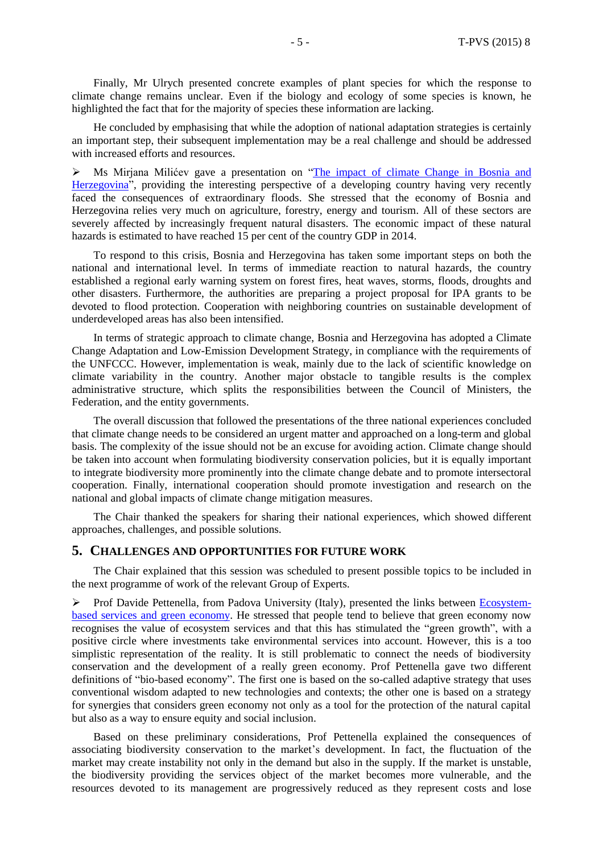Finally, Mr Ulrych presented concrete examples of plant species for which the response to climate change remains unclear. Even if the biology and ecology of some species is known, he highlighted the fact that for the majority of species these information are lacking.

He concluded by emphasising that while the adoption of national adaptation strategies is certainly an important step, their subsequent implementation may be a real challenge and should be addressed with increased efforts and resources.

 Ms Mirjana Milićev gave a presentation on "The impact [of climate Change in Bosnia and](http://www.coe.int/t/dg4/cultureheritage/nature/Bern/ClimateChange/Documents/042015/Climate_Change_and_Biodiversity_BiH.pdf)  [Herzegovina"](http://www.coe.int/t/dg4/cultureheritage/nature/Bern/ClimateChange/Documents/042015/Climate_Change_and_Biodiversity_BiH.pdf), providing the interesting perspective of a developing country having very recently faced the consequences of extraordinary floods. She stressed that the economy of Bosnia and Herzegovina relies very much on agriculture, forestry, energy and tourism. All of these sectors are severely affected by increasingly frequent natural disasters. The economic impact of these natural hazards is estimated to have reached 15 per cent of the country GDP in 2014.

To respond to this crisis, Bosnia and Herzegovina has taken some important steps on both the national and international level. In terms of immediate reaction to natural hazards, the country established a regional early warning system on forest fires, heat waves, storms, floods, droughts and other disasters. Furthermore, the authorities are preparing a project proposal for IPA grants to be devoted to flood protection. Cooperation with neighboring countries on sustainable development of underdeveloped areas has also been intensified.

In terms of strategic approach to climate change, Bosnia and Herzegovina has adopted a Climate Change Adaptation and Low-Emission Development Strategy, in compliance with the requirements of the UNFCCC. However, implementation is weak, mainly due to the lack of scientific knowledge on climate variability in the country. Another major obstacle to tangible results is the complex administrative structure, which splits the responsibilities between the Council of Ministers, the Federation, and the entity governments.

The overall discussion that followed the presentations of the three national experiences concluded that climate change needs to be considered an urgent matter and approached on a long-term and global basis. The complexity of the issue should not be an excuse for avoiding action. Climate change should be taken into account when formulating biodiversity conservation policies, but it is equally important to integrate biodiversity more prominently into the climate change debate and to promote intersectoral cooperation. Finally, international cooperation should promote investigation and research on the national and global impacts of climate change mitigation measures.

The Chair thanked the speakers for sharing their national experiences, which showed different approaches, challenges, and possible solutions.

#### **5. CHALLENGES AND OPPORTUNITIES FOR FUTURE WORK**

The Chair explained that this session was scheduled to present possible topics to be included in the next programme of work of the relevant Group of Experts.

 $\triangleright$  Prof Davide Pettenella, from Padova University (Italy), presented the links between [Ecosystem](http://www.coe.int/t/dg4/cultureheritage/nature/Bern/ClimateChange/Documents/042015/Rome_Pettenella_Biodiversity_Green_Economy.pdf)[based services and green economy.](http://www.coe.int/t/dg4/cultureheritage/nature/Bern/ClimateChange/Documents/042015/Rome_Pettenella_Biodiversity_Green_Economy.pdf) He stressed that people tend to believe that green economy now recognises the value of ecosystem services and that this has stimulated the "green growth", with a positive circle where investments take environmental services into account. However, this is a too simplistic representation of the reality. It is still problematic to connect the needs of biodiversity conservation and the development of a really green economy. Prof Pettenella gave two different definitions of "bio-based economy". The first one is based on the so-called adaptive strategy that uses conventional wisdom adapted to new technologies and contexts; the other one is based on a strategy for synergies that considers green economy not only as a tool for the protection of the natural capital but also as a way to ensure equity and social inclusion.

Based on these preliminary considerations, Prof Pettenella explained the consequences of associating biodiversity conservation to the market's development. In fact, the fluctuation of the market may create instability not only in the demand but also in the supply. If the market is unstable, the biodiversity providing the services object of the market becomes more vulnerable, and the resources devoted to its management are progressively reduced as they represent costs and lose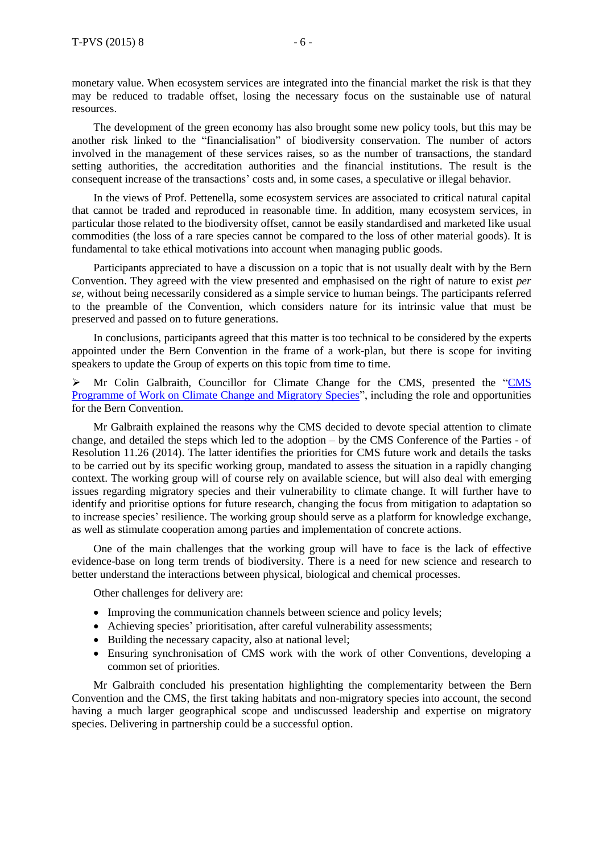The development of the green economy has also brought some new policy tools, but this may be another risk linked to the "financialisation" of biodiversity conservation. The number of actors involved in the management of these services raises, so as the number of transactions, the standard setting authorities, the accreditation authorities and the financial institutions. The result is the consequent increase of the transactions' costs and, in some cases, a speculative or illegal behavior.

In the views of Prof. Pettenella, some ecosystem services are associated to critical natural capital that cannot be traded and reproduced in reasonable time. In addition, many ecosystem services, in particular those related to the biodiversity offset, cannot be easily standardised and marketed like usual commodities (the loss of a rare species cannot be compared to the loss of other material goods). It is fundamental to take ethical motivations into account when managing public goods.

Participants appreciated to have a discussion on a topic that is not usually dealt with by the Bern Convention. They agreed with the view presented and emphasised on the right of nature to exist *per se*, without being necessarily considered as a simple service to human beings. The participants referred to the preamble of the Convention, which considers nature for its intrinsic value that must be preserved and passed on to future generations.

In conclusions, participants agreed that this matter is too technical to be considered by the experts appointed under the Bern Convention in the frame of a work-plan, but there is scope for inviting speakers to update the Group of experts on this topic from time to time.

 Mr Colin Galbraith, Councillor for Climate Change for the CMS, presented the ["CMS](http://www.coe.int/t/dg4/cultureheritage/nature/Bern/ClimateChange/Documents/042015/CMS_Colin_Galbraith_CLIMATE_CHANGE_APRIL_2015.pdf)  [Programme of Work on Climate Change and Migratory Species"](http://www.coe.int/t/dg4/cultureheritage/nature/Bern/ClimateChange/Documents/042015/CMS_Colin_Galbraith_CLIMATE_CHANGE_APRIL_2015.pdf), including the role and opportunities for the Bern Convention.

Mr Galbraith explained the reasons why the CMS decided to devote special attention to climate change, and detailed the steps which led to the adoption – by the CMS Conference of the Parties - of Resolution 11.26 (2014). The latter identifies the priorities for CMS future work and details the tasks to be carried out by its specific working group, mandated to assess the situation in a rapidly changing context. The working group will of course rely on available science, but will also deal with emerging issues regarding migratory species and their vulnerability to climate change. It will further have to identify and prioritise options for future research, changing the focus from mitigation to adaptation so to increase species' resilience. The working group should serve as a platform for knowledge exchange, as well as stimulate cooperation among parties and implementation of concrete actions.

One of the main challenges that the working group will have to face is the lack of effective evidence-base on long term trends of biodiversity. There is a need for new science and research to better understand the interactions between physical, biological and chemical processes.

Other challenges for delivery are:

- Improving the communication channels between science and policy levels;
- Achieving species' prioritisation, after careful vulnerability assessments;
- Building the necessary capacity, also at national level:
- Ensuring synchronisation of CMS work with the work of other Conventions, developing a common set of priorities.

Mr Galbraith concluded his presentation highlighting the complementarity between the Bern Convention and the CMS, the first taking habitats and non-migratory species into account, the second having a much larger geographical scope and undiscussed leadership and expertise on migratory species. Delivering in partnership could be a successful option.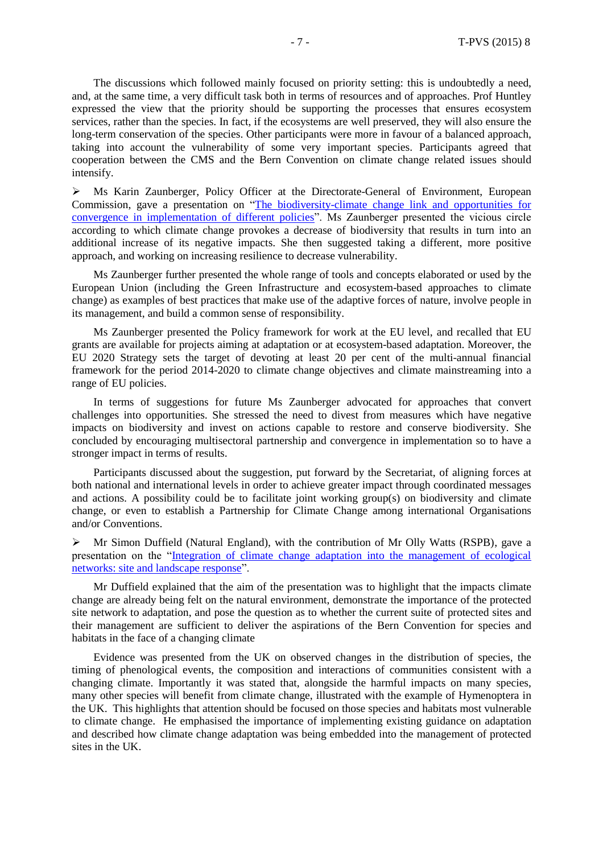The discussions which followed mainly focused on priority setting: this is undoubtedly a need, and, at the same time, a very difficult task both in terms of resources and of approaches. Prof Huntley expressed the view that the priority should be supporting the processes that ensures ecosystem services, rather than the species. In fact, if the ecosystems are well preserved, they will also ensure the long-term conservation of the species. Other participants were more in favour of a balanced approach, taking into account the vulnerability of some very important species. Participants agreed that cooperation between the CMS and the Bern Convention on climate change related issues should intensify.

 Ms Karin Zaunberger, Policy Officer at the Directorate-General of Environment, European Commission, gave a presentation on ["The biodiversity-climate change link and opportunities for](http://www.coe.int/t/dg4/cultureheritage/nature/Bern/ClimateChange/Documents/042015/Karin_Zaunberger_Bern_expert_group_28_April.pdf)  [convergence in implementation of different policies"](http://www.coe.int/t/dg4/cultureheritage/nature/Bern/ClimateChange/Documents/042015/Karin_Zaunberger_Bern_expert_group_28_April.pdf). Ms Zaunberger presented the vicious circle according to which climate change provokes a decrease of biodiversity that results in turn into an additional increase of its negative impacts. She then suggested taking a different, more positive approach, and working on increasing resilience to decrease vulnerability.

Ms Zaunberger further presented the whole range of tools and concepts elaborated or used by the European Union (including the Green Infrastructure and ecosystem-based approaches to climate change) as examples of best practices that make use of the adaptive forces of nature, involve people in its management, and build a common sense of responsibility.

Ms Zaunberger presented the Policy framework for work at the EU level, and recalled that EU grants are available for projects aiming at adaptation or at ecosystem-based adaptation. Moreover, the EU 2020 Strategy sets the target of devoting at least 20 per cent of the multi-annual financial framework for the period 2014-2020 to climate change objectives and climate mainstreaming into a range of EU policies.

In terms of suggestions for future Ms Zaunberger advocated for approaches that convert challenges into opportunities. She stressed the need to divest from measures which have negative impacts on biodiversity and invest on actions capable to restore and conserve biodiversity. She concluded by encouraging multisectoral partnership and convergence in implementation so to have a stronger impact in terms of results.

Participants discussed about the suggestion, put forward by the Secretariat, of aligning forces at both national and international levels in order to achieve greater impact through coordinated messages and actions. A possibility could be to facilitate joint working group(s) on biodiversity and climate change, or even to establish a Partnership for Climate Change among international Organisations and/or Conventions.

 $\triangleright$  Mr Simon Duffield (Natural England), with the contribution of Mr Olly Watts (RSPB), gave a presentation on the ["Integration of climate change adaptation into the management of ecological](http://www.coe.int/t/dg4/cultureheritage/nature/Bern/ClimateChange/Documents/042015/Rome_Simon_Duffield.pdf)  [networks: site and landscape response"](http://www.coe.int/t/dg4/cultureheritage/nature/Bern/ClimateChange/Documents/042015/Rome_Simon_Duffield.pdf).

Mr Duffield explained that the aim of the presentation was to highlight that the impacts climate change are already being felt on the natural environment, demonstrate the importance of the protected site network to adaptation, and pose the question as to whether the current suite of protected sites and their management are sufficient to deliver the aspirations of the Bern Convention for species and habitats in the face of a changing climate

Evidence was presented from the UK on observed changes in the distribution of species, the timing of phenological events, the composition and interactions of communities consistent with a changing climate. Importantly it was stated that, alongside the harmful impacts on many species, many other species will benefit from climate change, illustrated with the example of Hymenoptera in the UK. This highlights that attention should be focused on those species and habitats most vulnerable to climate change. He emphasised the importance of implementing existing guidance on adaptation and described how climate change adaptation was being embedded into the management of protected sites in the UK.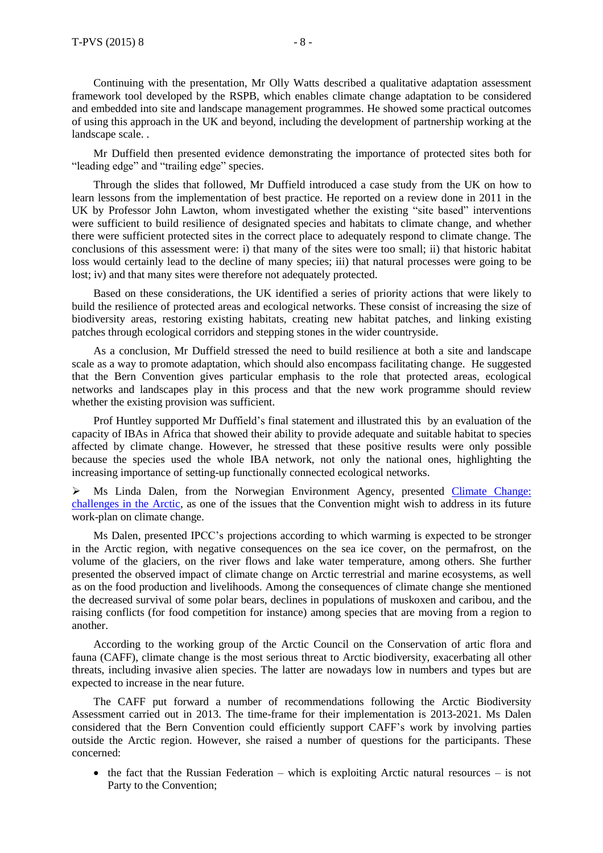Continuing with the presentation, Mr Olly Watts described a qualitative adaptation assessment framework tool developed by the RSPB, which enables climate change adaptation to be considered and embedded into site and landscape management programmes. He showed some practical outcomes of using this approach in the UK and beyond, including the development of partnership working at the landscape scale. .

Mr Duffield then presented evidence demonstrating the importance of protected sites both for "leading edge" and "trailing edge" species.

Through the slides that followed, Mr Duffield introduced a case study from the UK on how to learn lessons from the implementation of best practice. He reported on a review done in 2011 in the UK by Professor John Lawton, whom investigated whether the existing "site based" interventions were sufficient to build resilience of designated species and habitats to climate change, and whether there were sufficient protected sites in the correct place to adequately respond to climate change. The conclusions of this assessment were: i) that many of the sites were too small; ii) that historic habitat loss would certainly lead to the decline of many species; iii) that natural processes were going to be lost; iv) and that many sites were therefore not adequately protected.

Based on these considerations, the UK identified a series of priority actions that were likely to build the resilience of protected areas and ecological networks. These consist of increasing the size of biodiversity areas, restoring existing habitats, creating new habitat patches, and linking existing patches through ecological corridors and stepping stones in the wider countryside.

As a conclusion, Mr Duffield stressed the need to build resilience at both a site and landscape scale as a way to promote adaptation, which should also encompass facilitating change. He suggested that the Bern Convention gives particular emphasis to the role that protected areas, ecological networks and landscapes play in this process and that the new work programme should review whether the existing provision was sufficient.

Prof Huntley supported Mr Duffield's final statement and illustrated this by an evaluation of the capacity of IBAs in Africa that showed their ability to provide adequate and suitable habitat to species affected by climate change. However, he stressed that these positive results were only possible because the species used the whole IBA network, not only the national ones, highlighting the increasing importance of setting-up functionally connected ecological networks.

 $\triangleright$  Ms Linda Dalen, from the Norwegian Environment Agency, presented Climate Change: [challenges in the Arctic,](http://www.coe.int/t/dg4/cultureheritage/nature/Bern/ClimateChange/Documents/042015/Linda_Dalen_Climate_change_challlenges_in_the_Arctic_Bern_convention_Expert_meeting_Rome_28_April_2015.pdf) as one of the issues that the Convention might wish to address in its future work-plan on climate change.

Ms Dalen, presented IPCC's projections according to which warming is expected to be stronger in the Arctic region, with negative consequences on the sea ice cover, on the permafrost, on the volume of the glaciers, on the river flows and lake water temperature, among others. She further presented the observed impact of climate change on Arctic terrestrial and marine ecosystems, as well as on the food production and livelihoods. Among the consequences of climate change she mentioned the decreased survival of some polar bears, declines in populations of muskoxen and caribou, and the raising conflicts (for food competition for instance) among species that are moving from a region to another.

According to the working group of the Arctic Council on the Conservation of artic flora and fauna (CAFF), climate change is the most serious threat to Arctic biodiversity, exacerbating all other threats, including invasive alien species. The latter are nowadays low in numbers and types but are expected to increase in the near future.

The CAFF put forward a number of recommendations following the Arctic Biodiversity Assessment carried out in 2013. The time-frame for their implementation is 2013-2021. Ms Dalen considered that the Bern Convention could efficiently support CAFF's work by involving parties outside the Arctic region. However, she raised a number of questions for the participants. These concerned:

 $\bullet$  the fact that the Russian Federation – which is exploiting Arctic natural resources – is not Party to the Convention;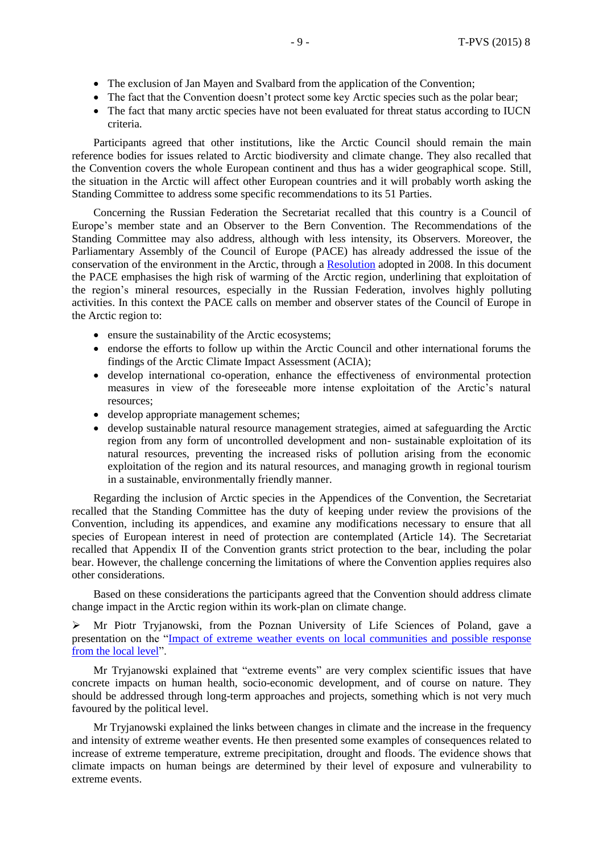- The exclusion of Jan Mayen and Svalbard from the application of the Convention;
- The fact that the Convention doesn't protect some key Arctic species such as the polar bear;
- The fact that many arctic species have not been evaluated for threat status according to IUCN criteria.

Participants agreed that other institutions, like the Arctic Council should remain the main reference bodies for issues related to Arctic biodiversity and climate change. They also recalled that the Convention covers the whole European continent and thus has a wider geographical scope. Still, the situation in the Arctic will affect other European countries and it will probably worth asking the Standing Committee to address some specific recommendations to its 51 Parties.

Concerning the Russian Federation the Secretariat recalled that this country is a Council of Europe's member state and an Observer to the Bern Convention. The Recommendations of the Standing Committee may also address, although with less intensity, its Observers. Moreover, the Parliamentary Assembly of the Council of Europe (PACE) has already addressed the issue of the conservation of the environment in the Arctic, through a [Resolution](http://assembly.coe.int/nw/xml/XRef/Xref-XML2HTML-en.asp?fileid=17617&lang=en) adopted in 2008. In this document the PACE emphasises the high risk of warming of the Arctic region, underlining that exploitation of the region's mineral resources, especially in the Russian Federation, involves highly polluting activities. In this context the PACE calls on member and observer states of the Council of Europe in the Arctic region to:

- ensure the sustainability of the Arctic ecosystems;
- endorse the efforts to follow up within the Arctic Council and other international forums the findings of the Arctic Climate Impact Assessment (ACIA);
- develop international co-operation, enhance the effectiveness of environmental protection measures in view of the foreseeable more intense exploitation of the Arctic's natural resources;
- develop appropriate management schemes;
- develop sustainable natural resource management strategies, aimed at safeguarding the Arctic region from any form of uncontrolled development and non- sustainable exploitation of its natural resources, preventing the increased risks of pollution arising from the economic exploitation of the region and its natural resources, and managing growth in regional tourism in a sustainable, environmentally friendly manner.

Regarding the inclusion of Arctic species in the Appendices of the Convention, the Secretariat recalled that the Standing Committee has the duty of keeping under review the provisions of the Convention, including its appendices, and examine any modifications necessary to ensure that all species of European interest in need of protection are contemplated (Article 14). The Secretariat recalled that Appendix II of the Convention grants strict protection to the bear, including the polar bear. However, the challenge concerning the limitations of where the Convention applies requires also other considerations.

Based on these considerations the participants agreed that the Convention should address climate change impact in the Arctic region within its work-plan on climate change.

 Mr Piotr Tryjanowski, from the Poznan University of Life Sciences of Poland, gave a presentation on the "Impact of extreme weather events on local [communities](http://www.coe.int/t/dg4/cultureheritage/nature/Bern/ClimateChange/Documents/042015/Impact_of_extreme_Piotr_Tryjanowski.pdf) and possible response from the local [level"](http://www.coe.int/t/dg4/cultureheritage/nature/Bern/ClimateChange/Documents/042015/Impact_of_extreme_Piotr_Tryjanowski.pdf).

Mr Tryjanowski explained that "extreme events" are very complex scientific issues that have concrete impacts on human health, socio-economic development, and of course on nature. They should be addressed through long-term approaches and projects, something which is not very much favoured by the political level.

Mr Tryjanowski explained the links between changes in climate and the increase in the frequency and intensity of extreme weather events. He then presented some examples of consequences related to increase of extreme temperature, extreme precipitation, drought and floods. The evidence shows that climate impacts on human beings are determined by their level of exposure and vulnerability to extreme events.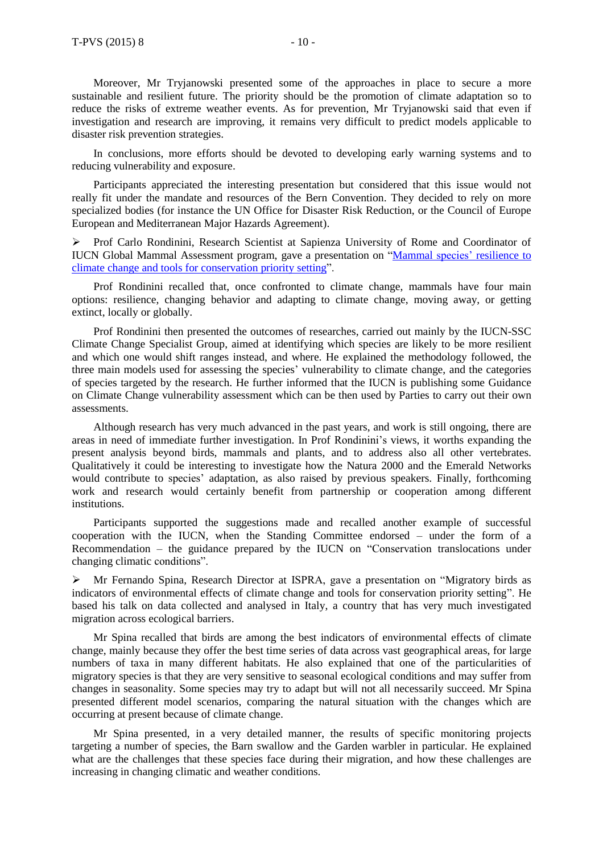Moreover, Mr Tryjanowski presented some of the approaches in place to secure a more sustainable and resilient future. The priority should be the promotion of climate adaptation so to reduce the risks of extreme weather events. As for prevention, Mr Tryjanowski said that even if investigation and research are improving, it remains very difficult to predict models applicable to disaster risk prevention strategies.

In conclusions, more efforts should be devoted to developing early warning systems and to reducing vulnerability and exposure.

Participants appreciated the interesting presentation but considered that this issue would not really fit under the mandate and resources of the Bern Convention. They decided to rely on more specialized bodies (for instance the UN Office for Disaster Risk Reduction, or the Council of Europe European and Mediterranean Major Hazards Agreement).

 Prof Carlo Rondinini, Research Scientist at Sapienza University of Rome and Coordinator of IUCN Global Mammal Assessment program, gave a presentation on "Mammal species' [resilience](http://www.coe.int/t/dg4/cultureheritage/nature/Bern/ClimateChange/Documents/042015/Carlo_Rondinini_climate_change.pdf) to climate change and tools for [conservation](http://www.coe.int/t/dg4/cultureheritage/nature/Bern/ClimateChange/Documents/042015/Carlo_Rondinini_climate_change.pdf) priority setting".

Prof Rondinini recalled that, once confronted to climate change, mammals have four main options: resilience, changing behavior and adapting to climate change, moving away, or getting extinct, locally or globally.

Prof Rondinini then presented the outcomes of researches, carried out mainly by the IUCN-SSC Climate Change Specialist Group, aimed at identifying which species are likely to be more resilient and which one would shift ranges instead, and where. He explained the methodology followed, the three main models used for assessing the species' vulnerability to climate change, and the categories of species targeted by the research. He further informed that the IUCN is publishing some Guidance on Climate Change vulnerability assessment which can be then used by Parties to carry out their own assessments.

Although research has very much advanced in the past years, and work is still ongoing, there are areas in need of immediate further investigation. In Prof Rondinini's views, it worths expanding the present analysis beyond birds, mammals and plants, and to address also all other vertebrates. Qualitatively it could be interesting to investigate how the Natura 2000 and the Emerald Networks would contribute to species' adaptation, as also raised by previous speakers. Finally, forthcoming work and research would certainly benefit from partnership or cooperation among different institutions.

Participants supported the suggestions made and recalled another example of successful cooperation with the IUCN, when the Standing Committee endorsed – under the form of a Recommendation – the guidance prepared by the IUCN on "Conservation translocations under changing climatic conditions".

 Mr Fernando Spina, Research Director at ISPRA, gave a presentation on "Migratory birds as indicators of environmental effects of climate change and tools for conservation priority setting". He based his talk on data collected and analysed in Italy, a country that has very much investigated migration across ecological barriers.

Mr Spina recalled that birds are among the best indicators of environmental effects of climate change, mainly because they offer the best time series of data across vast geographical areas, for large numbers of taxa in many different habitats. He also explained that one of the particularities of migratory species is that they are very sensitive to seasonal ecological conditions and may suffer from changes in seasonality. Some species may try to adapt but will not all necessarily succeed. Mr Spina presented different model scenarios, comparing the natural situation with the changes which are occurring at present because of climate change.

Mr Spina presented, in a very detailed manner, the results of specific monitoring projects targeting a number of species, the Barn swallow and the Garden warbler in particular. He explained what are the challenges that these species face during their migration, and how these challenges are increasing in changing climatic and weather conditions.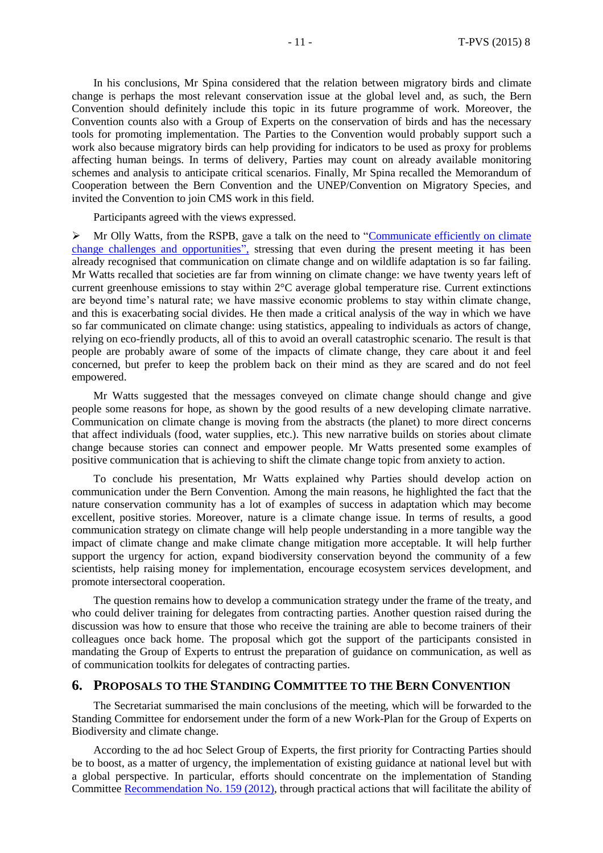In his conclusions, Mr Spina considered that the relation between migratory birds and climate change is perhaps the most relevant conservation issue at the global level and, as such, the Bern Convention should definitely include this topic in its future programme of work. Moreover, the Convention counts also with a Group of Experts on the conservation of birds and has the necessary tools for promoting implementation. The Parties to the Convention would probably support such a work also because migratory birds can help providing for indicators to be used as proxy for problems affecting human beings. In terms of delivery, Parties may count on already available monitoring schemes and analysis to anticipate critical scenarios. Finally, Mr Spina recalled the Memorandum of Cooperation between the Bern Convention and the UNEP/Convention on Migratory Species, and invited the Convention to join CMS work in this field.

Participants agreed with the views expressed.

 $\triangleright$  Mr Olly Watts, from the RSPB, gave a talk on the need to "Communicate efficiently on climate [change challenges and opportunities"](http://www.coe.int/t/dg4/cultureheritage/nature/Bern/ClimateChange/Documents/042015/Communications_Bern_Apr15_Olly_Watts.pdf), stressing that even during the present meeting it has been already recognised that communication on climate change and on wildlife adaptation is so far failing. Mr Watts recalled that societies are far from winning on climate change: we have twenty years left of current greenhouse emissions to stay within 2°C average global temperature rise. Current extinctions are beyond time's natural rate; we have massive economic problems to stay within climate change, and this is exacerbating social divides. He then made a critical analysis of the way in which we have so far communicated on climate change: using statistics, appealing to individuals as actors of change, relying on eco-friendly products, all of this to avoid an overall catastrophic scenario. The result is that people are probably aware of some of the impacts of climate change, they care about it and feel concerned, but prefer to keep the problem back on their mind as they are scared and do not feel empowered.

Mr Watts suggested that the messages conveyed on climate change should change and give people some reasons for hope, as shown by the good results of a new developing climate narrative. Communication on climate change is moving from the abstracts (the planet) to more direct concerns that affect individuals (food, water supplies, etc.). This new narrative builds on stories about climate change because stories can connect and empower people. Mr Watts presented some examples of positive communication that is achieving to shift the climate change topic from anxiety to action.

To conclude his presentation, Mr Watts explained why Parties should develop action on communication under the Bern Convention. Among the main reasons, he highlighted the fact that the nature conservation community has a lot of examples of success in adaptation which may become excellent, positive stories. Moreover, nature is a climate change issue. In terms of results, a good communication strategy on climate change will help people understanding in a more tangible way the impact of climate change and make climate change mitigation more acceptable. It will help further support the urgency for action, expand biodiversity conservation beyond the community of a few scientists, help raising money for implementation, encourage ecosystem services development, and promote intersectoral cooperation.

The question remains how to develop a communication strategy under the frame of the treaty, and who could deliver training for delegates from contracting parties. Another question raised during the discussion was how to ensure that those who receive the training are able to become trainers of their colleagues once back home. The proposal which got the support of the participants consisted in mandating the Group of Experts to entrust the preparation of guidance on communication, as well as of communication toolkits for delegates of contracting parties.

#### **6. PROPOSALS TO THE STANDING COMMITTEE TO THE BERN CONVENTION**

The Secretariat summarised the main conclusions of the meeting, which will be forwarded to the Standing Committee for endorsement under the form of a new Work-Plan for the Group of Experts on Biodiversity and climate change.

According to the ad hoc Select Group of Experts, the first priority for Contracting Parties should be to boost, as a matter of urgency, the implementation of existing guidance at national level but with a global perspective. In particular, efforts should concentrate on the implementation of Standing Committee [Recommendation](https://wcd.coe.int/ViewDoc.jsp?id=2010677&Site=&BackColorInternet=B9BDEE&BackColorIntranet=FFCD4F&BackColorLogged=FFC679) No. 159 (2012), through practical actions that will facilitate the ability of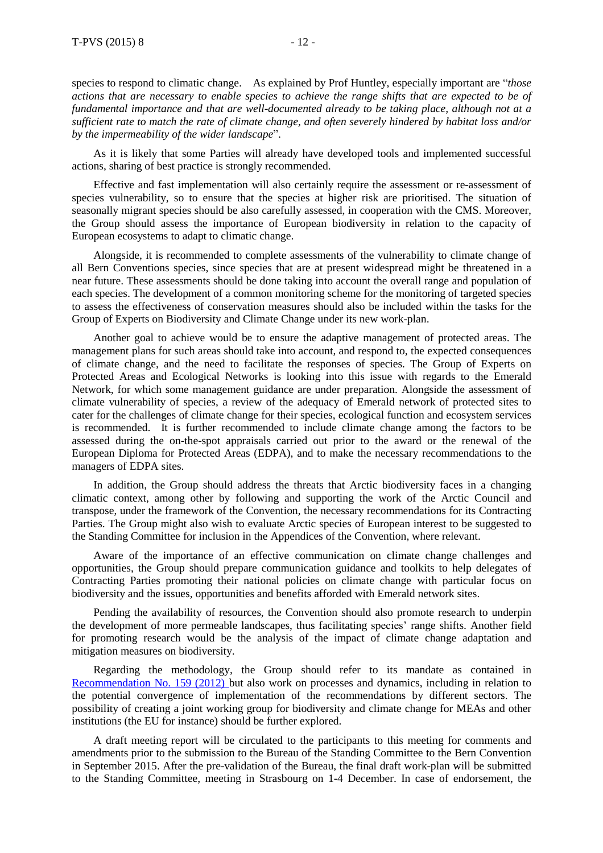species to respond to climatic change. As explained by Prof Huntley, especially important are "*those* actions that are necessary to enable species to achieve the range shifts that are expected to be of *fundamental importance and that are well-documented already to be taking place, although not at a sufficient rate to match the rate of climate change, and often severely hindered by habitat loss and/or by the impermeability of the wider landscape*".

As it is likely that some Parties will already have developed tools and implemented successful actions, sharing of best practice is strongly recommended.

Effective and fast implementation will also certainly require the assessment or re-assessment of species vulnerability, so to ensure that the species at higher risk are prioritised. The situation of seasonally migrant species should be also carefully assessed, in cooperation with the CMS. Moreover, the Group should assess the importance of European biodiversity in relation to the capacity of European ecosystems to adapt to climatic change.

Alongside, it is recommended to complete assessments of the vulnerability to climate change of all Bern Conventions species, since species that are at present widespread might be threatened in a near future. These assessments should be done taking into account the overall range and population of each species. The development of a common monitoring scheme for the monitoring of targeted species to assess the effectiveness of conservation measures should also be included within the tasks for the Group of Experts on Biodiversity and Climate Change under its new work-plan.

Another goal to achieve would be to ensure the adaptive management of protected areas. The management plans for such areas should take into account, and respond to, the expected consequences of climate change, and the need to facilitate the responses of species. The Group of Experts on Protected Areas and Ecological Networks is looking into this issue with regards to the Emerald Network, for which some management guidance are under preparation. Alongside the assessment of climate vulnerability of species, a review of the adequacy of Emerald network of protected sites to cater for the challenges of climate change for their species, ecological function and ecosystem services is recommended. It is further recommended to include climate change among the factors to be assessed during the on-the-spot appraisals carried out prior to the award or the renewal of the European Diploma for Protected Areas (EDPA), and to make the necessary recommendations to the managers of EDPA sites.

In addition, the Group should address the threats that Arctic biodiversity faces in a changing climatic context, among other by following and supporting the work of the Arctic Council and transpose, under the framework of the Convention, the necessary recommendations for its Contracting Parties. The Group might also wish to evaluate Arctic species of European interest to be suggested to the Standing Committee for inclusion in the Appendices of the Convention, where relevant.

Aware of the importance of an effective communication on climate change challenges and opportunities, the Group should prepare communication guidance and toolkits to help delegates of Contracting Parties promoting their national policies on climate change with particular focus on biodiversity and the issues, opportunities and benefits afforded with Emerald network sites.

Pending the availability of resources, the Convention should also promote research to underpin the development of more permeable landscapes, thus facilitating species' range shifts. Another field for promoting research would be the analysis of the impact of climate change adaptation and mitigation measures on biodiversity.

Regarding the methodology, the Group should refer to its mandate as contained in [Recommendation](https://wcd.coe.int/ViewDoc.jsp?id=2010677&Site=&BackColorInternet=B9BDEE&BackColorIntranet=FFCD4F&BackColorLogged=FFC679) No. 159 (2012) but also work on processes and dynamics, including in relation to the potential convergence of implementation of the recommendations by different sectors. The possibility of creating a joint working group for biodiversity and climate change for MEAs and other institutions (the EU for instance) should be further explored.

A draft meeting report will be circulated to the participants to this meeting for comments and amendments prior to the submission to the Bureau of the Standing Committee to the Bern Convention in September 2015. After the pre-validation of the Bureau, the final draft work-plan will be submitted to the Standing Committee, meeting in Strasbourg on 1-4 December. In case of endorsement, the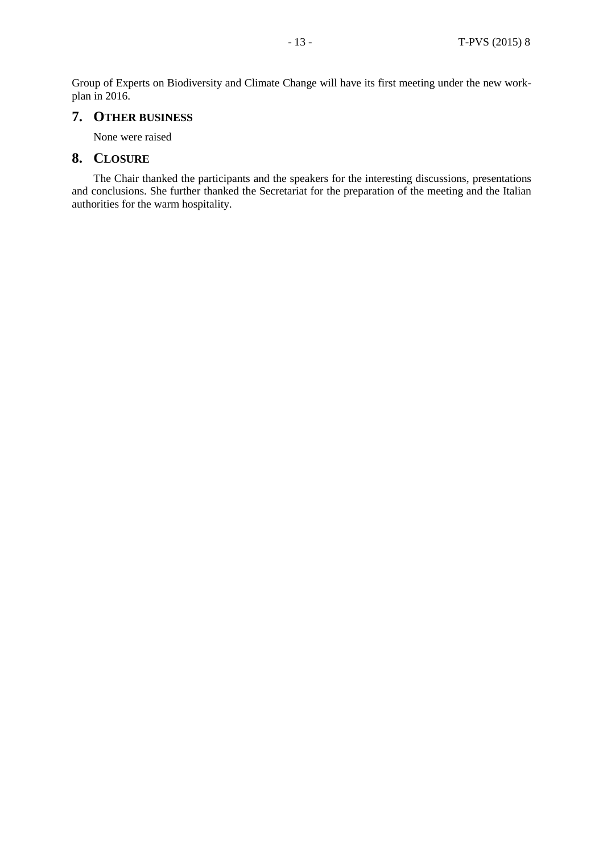Group of Experts on Biodiversity and Climate Change will have its first meeting under the new workplan in 2016.

## **7. OTHER BUSINESS**

None were raised

## **8. CLOSURE**

The Chair thanked the participants and the speakers for the interesting discussions, presentations and conclusions. She further thanked the Secretariat for the preparation of the meeting and the Italian authorities for the warm hospitality.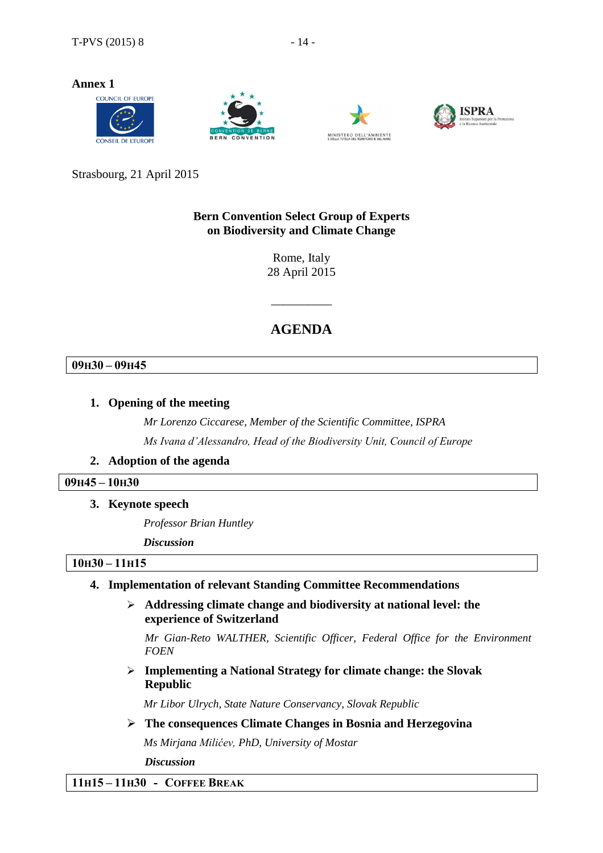**Annex 1**









Strasbourg, 21 April 2015

## **Bern Convention Select Group of Experts on Biodiversity and Climate Change**

Rome, Italy 28 April 2015

## **AGENDA**

\_\_\_\_\_\_\_\_\_\_

## **09H30 – 09H45**

## **1. Opening of the meeting**

*Mr Lorenzo Ciccarese, Member of the Scientific Committee, ISPRA Ms Ivana d'Alessandro, Head of the Biodiversity Unit, Council of Europe*

## **2. Adoption of the agenda**

## **09H45 – 10H30**

**3. Keynote speech**

*Professor Brian Huntley*

*Discussion*

## **10H30 – 11H15**

## **4. Implementation of relevant Standing Committee Recommendations**

 **Addressing climate change and biodiversity at national level: the experience of Switzerland**

*Mr Gian-Reto WALTHER, Scientific Officer, Federal Office for the Environment FOEN*

 **Implementing a National Strategy for climate change: the Slovak Republic**

*Mr Libor Ulrych, State Nature Conservancy, Slovak Republic*

**The consequences Climate Changes in Bosnia and Herzegovina**

*Ms Mirjana Milićev, PhD, University of Mostar*

*Discussion*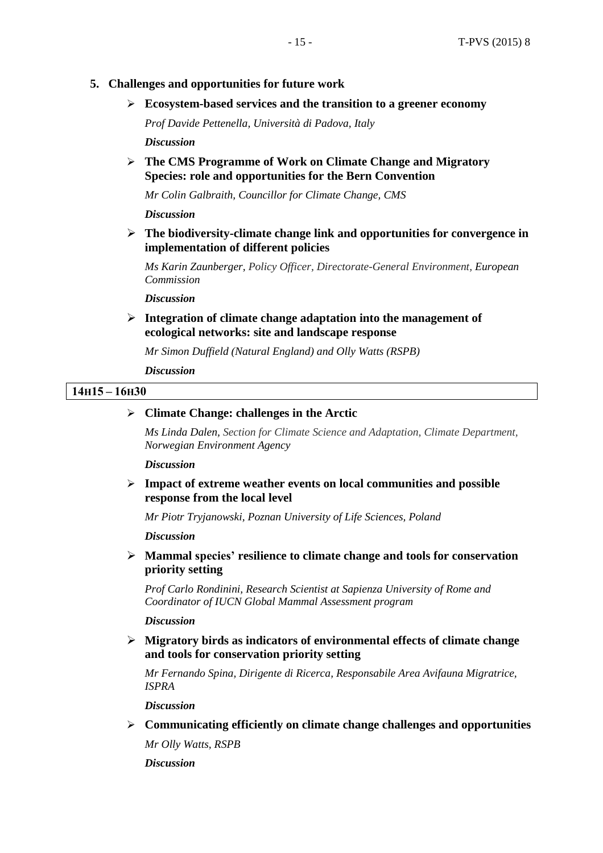## **5. Challenges and opportunities for future work**

**Ecosystem-based services and the transition to a greener economy**

*Prof Davide Pettenella, Università di Padova, Italy Discussion*

 **The CMS Programme of Work on Climate Change and Migratory Species: role and opportunities for the Bern Convention**

*Mr Colin Galbraith, Councillor for Climate Change, CMS*

*Discussion*

 **The biodiversity-climate change link and opportunities for convergence in implementation of different policies**

*Ms Karin Zaunberger, Policy Officer, Directorate-General Environment, European Commission*

*Discussion*

 **Integration of climate change adaptation into the management of ecological networks: site and landscape response**

*Mr Simon Duffield (Natural England) and Olly Watts (RSPB)*

*Discussion*

#### **14H15 – 16H30**

#### **Climate Change: challenges in the Arctic**

*Ms Linda Dalen, Section for Climate Science and Adaptation, Climate Department, Norwegian Environment Agency*

*Discussion*

 **Impact of extreme weather events on local communities and possible response from the local level**

*Mr Piotr Tryjanowski, Poznan University of Life Sciences, Poland*

*Discussion*

 **Mammal species' resilience to climate change and tools for conservation priority setting**

*Prof Carlo Rondinini, Research Scientist at Sapienza University of Rome and Coordinator of IUCN Global Mammal Assessment program*

*Discussion*

 **Migratory birds as indicators of environmental effects of climate change and tools for conservation priority setting**

*Mr Fernando Spina, Dirigente di Ricerca, Responsabile Area Avifauna Migratrice, ISPRA*

*Discussion*

**Communicating efficiently on climate change challenges and opportunities**

*Mr Olly Watts, RSPB*

*Discussion*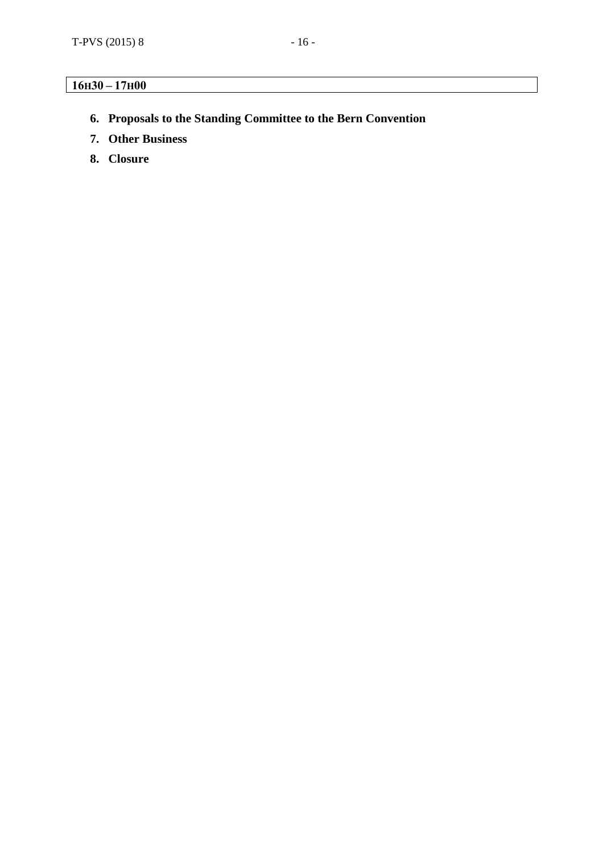## **16H30 – 17H00**

- **6. Proposals to the Standing Committee to the Bern Convention**
- **7. Other Business**
- **8. Closure**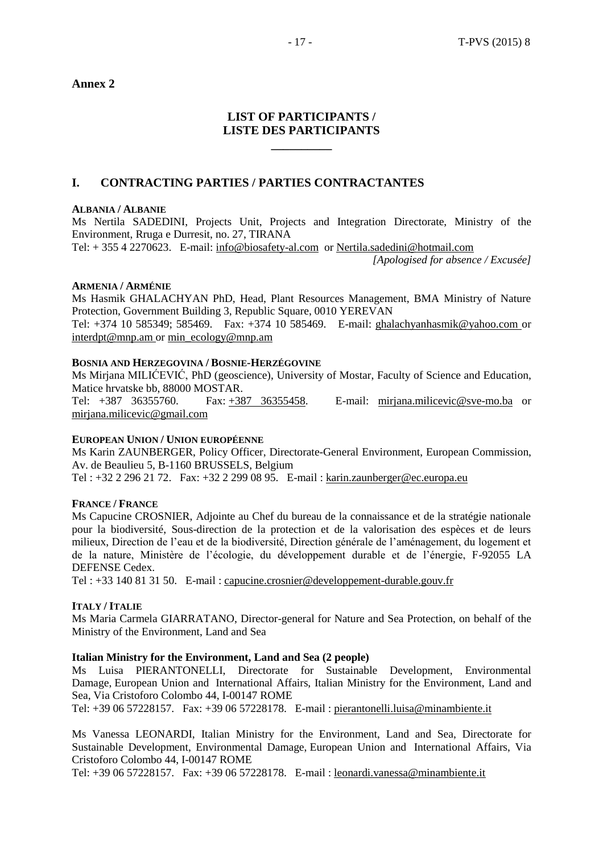**Annex 2**

## **LIST OF PARTICIPANTS / LISTE DES PARTICIPANTS**

**\_\_\_\_\_\_\_\_\_\_**

## **I. CONTRACTING PARTIES / PARTIES CONTRACTANTES**

#### **ALBANIA / ALBANIE**

Ms Nertila SADEDINI, Projects Unit, Projects and Integration Directorate, Ministry of the Environment, Rruga e Durresit, no. 27, TIRANA Tel: + 355 4 2270623. E-mail: [info@biosafety-al.com](mailto:info@biosafety-al.com) or [Nertila.sadedini@hotmail.com](mailto:Nertila.sadedini@hotmail.com)

*[Apologised for absence / Excusée]*

#### **ARMENIA / ARMÉNIE**

Ms Hasmik GHALACHYAN PhD, Head, Plant Resources Management, BMA Ministry of Nature Protection, Government Building 3, Republic Square, 0010 YEREVAN

Tel: +374 10 585349; 585469. Fax: +374 10 585469. E-mail: [ghalachyanhasmik@yahoo.com](mailto:ghalachyanhasmik@yahoo.com) or [interdpt@mnp.am](mailto:interdpt@mnp.am) or [min\\_ecology@mnp.am](mailto:min_ecology@mnp.am)

#### **BOSNIA AND HERZEGOVINA / BOSNIE-HERZÉGOVINE**

Ms Mirjana MILIĆEVIĆ, PhD (geoscience), University of Mostar, Faculty of Science and Education, Matice hrvatske bb, 88000 MOSTAR. Tel: +387 36355760. Fax: +387 [36355458.](mailto:+387%2036355458) E-mail: [mirjana.milicevic@sve-mo.ba](mailto:mirjana.milicevic@sve-mo.ba) or

[mirjana.milicevic@gmail.com](mailto:mirjana.milicevic@gmail.com)

### **EUROPEAN UNION / UNION EUROPÉENNE**

Ms Karin ZAUNBERGER, Policy Officer, Directorate-General Environment, European Commission, Av. de Beaulieu 5, B-1160 BRUSSELS, Belgium

Tel : +32 2 296 21 72. Fax: +32 2 299 08 95. E-mail : [karin.zaunberger@ec.europa.eu](mailto:karin.zaunberger@ec.europa.eu)

## **FRANCE / FRANCE**

Ms Capucine CROSNIER, Adjointe au Chef du bureau de la connaissance et de la stratégie nationale pour la biodiversité, Sous-direction de la protection et de la valorisation des espèces et de leurs milieux, Direction de l'eau et de la biodiversité, Direction générale de l'aménagement, du logement et de la nature, Ministère de l'écologie, du développement durable et de l'énergie, F-92055 LA DEFENSE Cedex.

Tel : +33 140 81 31 50. E-mail : [capucine.crosnier@developpement-durable.gouv.fr](mailto:capucine.crosnier@developpement-durable.gouv.fr)

#### **ITALY / ITALIE**

Ms Maria Carmela GIARRATANO, Director-general for Nature and Sea Protection, on behalf of the Ministry of the Environment, Land and Sea

#### **Italian Ministry for the Environment, Land and Sea (2 people)**

Ms Luisa PIERANTONELLI, Directorate for Sustainable Development, Environmental Damage, European Union and International Affairs, Italian Ministry for the Environment, Land and Sea, Via Cristoforo Colombo 44, I-00147 ROME

Tel: +39 06 57228157. Fax: +39 06 57228178. E-mail : [pierantonelli.luisa@minambiente.it](mailto:pierantonelli.luisa@minambiente.it)

Ms Vanessa LEONARDI, Italian Ministry for the Environment, Land and Sea, Directorate for Sustainable Development, Environmental Damage, European Union and International Affairs, Via Cristoforo Colombo 44, I-00147 ROME

Tel: +39 06 57228157. Fax: +39 06 57228178. E-mail : [leonardi.vanessa@minambiente.it](mailto:leonardi.vanessa@minambiente.it)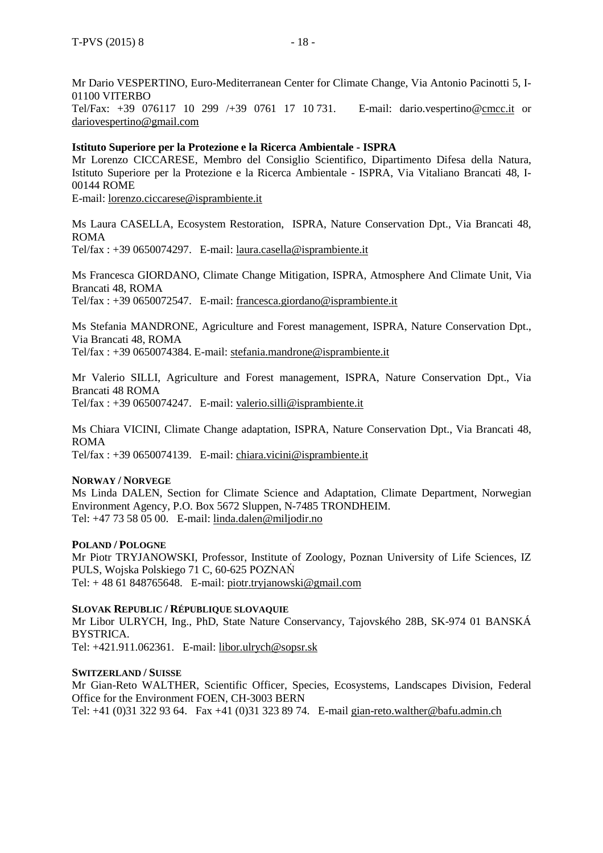Mr Dario VESPERTINO, Euro-Mediterranean Center for Climate Change, Via Antonio Pacinotti 5, I-01100 VITERBO

Tel/Fax: +39 076117 10 299 /+39 0761 17 10 731. E-mail: dario.vespertino[@cmcc.it](http://cmcc.it/) or [dariovespertino@gmail.com](mailto:dariovespertino@gmail.com)

#### **Istituto Superiore per la Protezione e la Ricerca Ambientale - ISPRA**

Mr Lorenzo CICCARESE, Membro del Consiglio Scientifico, Dipartimento Difesa della Natura, Istituto Superiore per la Protezione e la Ricerca Ambientale - ISPRA, Via Vitaliano Brancati 48, I-00144 ROME

E-mail: [lorenzo.ciccarese@isprambiente.it](mailto:lorenzo.ciccarese@isprambiente.it)

Ms Laura CASELLA, Ecosystem Restoration, ISPRA, Nature Conservation Dpt., Via Brancati 48, ROMA

Tel/fax : +39 0650074297. E-mail: [laura.casella@isprambiente.it](mailto:laura.casella@isprambiente.it)

Ms Francesca GIORDANO, Climate Change Mitigation, ISPRA, Atmosphere And Climate Unit, Via Brancati 48, ROMA Tel/fax : +39 0650072547. E-mail: [francesca.giordano@isprambiente.it](mailto:francesca.giordano@isprambiente.it)

Ms Stefania MANDRONE, Agriculture and Forest management, ISPRA, Nature Conservation Dpt., Via Brancati 48, ROMA Tel/fax : +39 0650074384. E-mail: [stefania.mandrone@isprambiente.it](mailto:stefania.mandrone@isprambiente.it)

Mr Valerio SILLI, Agriculture and Forest management, ISPRA, Nature Conservation Dpt., Via Brancati 48 ROMA Tel/fax : +39 0650074247. E-mail: [valerio.silli@isprambiente.it](mailto:valerio.silli@isprambiente.it)

Ms Chiara VICINI, Climate Change adaptation, ISPRA, Nature Conservation Dpt., Via Brancati 48, ROMA

Tel/fax : +39 0650074139. E-mail: [chiara.vicini@isprambiente.it](mailto:chiara.vicini@isprambiente.it)

#### **NORWAY / NORVEGE**

Ms Linda DALEN, Section for Climate Science and Adaptation, Climate Department, Norwegian Environment Agency, P.O. Box 5672 Sluppen, N-7485 TRONDHEIM. Tel: +47 73 58 05 00. E-mail: [linda.dalen@miljodir.no](mailto:linda.dalen@miljodir.no)

#### **POLAND / POLOGNE**

Mr Piotr TRYJANOWSKI, Professor, Institute of Zoology, Poznan University of Life Sciences, IZ PULS, Wojska Polskiego 71 C, 60-625 POZNAŃ Tel:  $+4861848765648$ . E-mail: [piotr.tryjanowski@gmail.com](mailto:piotr.tryjanowski@gmail.com)

#### **SLOVAK REPUBLIC / RÉPUBLIQUE SLOVAQUIE**

Mr Libor ULRYCH, Ing., PhD, State Nature Conservancy, Tajovského 28B, SK-974 01 BANSKÁ BYSTRICA.

Tel: +421.911.062361. E-mail: [libor.ulrych@sopsr.sk](mailto:libor.ulrych@sopsr.sk)

#### **SWITZERLAND / SUISSE**

Mr Gian-Reto WALTHER, Scientific Officer, Species, Ecosystems, Landscapes Division, Federal Office for the Environment FOEN, CH-3003 BERN Tel: +41 (0)31 322 93 64. Fax +41 (0)31 323 89 74. E-mail [gian-reto.walther@bafu.admin.ch](mailto:gian-reto.walther@bafu.admin.ch)